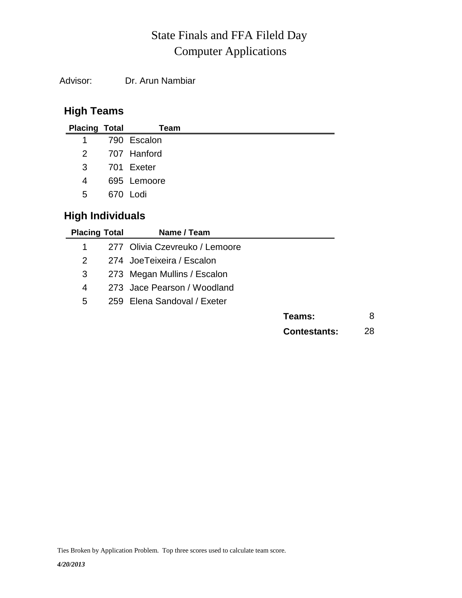## Computer Applications State Finals and FFA Fileld Day

Advisor: Dr. Arun Nambiar

## **High Teams**

| <b>Placing Total</b> | Team          |
|----------------------|---------------|
| $\mathbf{1}$         | 790 Escalon   |
|                      | 2 707 Hanford |
| 3                    | 701 Exeter    |
| 4                    | 695 Lemoore   |
| 5                    | 670 Lodi      |
|                      |               |

## **High Individuals**

| <b>Placing Total</b> | Name / Team                    |                     |    |
|----------------------|--------------------------------|---------------------|----|
| 1                    | 277 Olivia Czevreuko / Lemoore |                     |    |
| 2                    | 274 JoeTeixeira / Escalon      |                     |    |
| 3                    | 273 Megan Mullins / Escalon    |                     |    |
| 4                    | 273 Jace Pearson / Woodland    |                     |    |
| 5                    | 259 Elena Sandoval / Exeter    |                     |    |
|                      |                                | Teams:              | 8  |
|                      |                                | <b>Contestants:</b> | 28 |

Ties Broken by Application Problem. Top three scores used to calculate team score.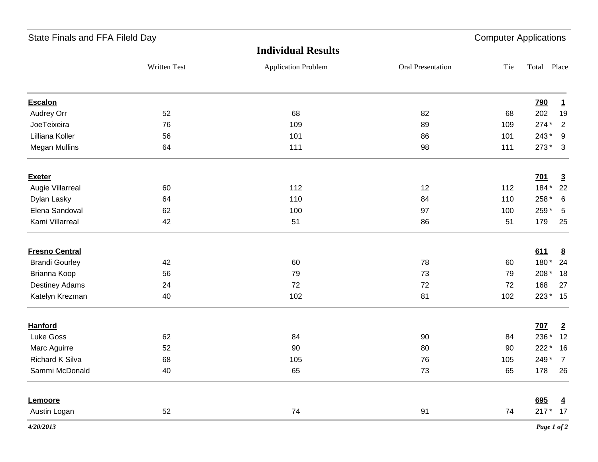| State Finals and FFA Fileld Day | <b>Computer Applications</b> |                            |                   |     |             |                         |
|---------------------------------|------------------------------|----------------------------|-------------------|-----|-------------|-------------------------|
|                                 |                              | <b>Individual Results</b>  |                   |     |             |                         |
|                                 | Written Test                 | <b>Application Problem</b> | Oral Presentation | Tie | Total Place |                         |
| <b>Escalon</b>                  |                              |                            |                   |     | <b>790</b>  | $\mathbf{1}$            |
| Audrey Orr                      | 52                           | 68                         | 82                | 68  | 202         | 19                      |
| JoeTeixeira                     | 76                           | 109                        | 89                | 109 | 274 *       | $\overline{2}$          |
| Lilliana Koller                 | 56                           | 101                        | 86                | 101 | 243*        | - 9                     |
| <b>Megan Mullins</b>            | 64                           | 111                        | 98                | 111 | 273 *       | $\overline{\mathbf{3}}$ |
| <b>Exeter</b>                   |                              |                            |                   |     | <u>701</u>  | $\overline{3}$          |
| Augie Villarreal                | 60                           | 112                        | 12                | 112 | 184*        | 22                      |
| Dylan Lasky                     | 64                           | 110                        | 84                | 110 | 258 *       | 6                       |
| Elena Sandoval                  | 62                           | 100                        | 97                | 100 | 259 *       | $5\phantom{.0}$         |
| Kami Villarreal                 | 42                           | 51                         | 86                | 51  | 179         | 25                      |
| <b>Fresno Central</b>           |                              |                            |                   |     | 611         | 8                       |
| <b>Brandi Gourley</b>           | 42                           | 60                         | 78                | 60  | 180*        | 24                      |
| Brianna Koop                    | 56                           | 79                         | 73                | 79  | 208 *       | 18                      |
| <b>Destiney Adams</b>           | 24                           | 72                         | 72                | 72  | 168         | 27                      |
| Katelyn Krezman                 | 40                           | 102                        | 81                | 102 | 223 * 15    |                         |
| <b>Hanford</b>                  |                              |                            |                   |     | <b>707</b>  | $\overline{2}$          |
| Luke Goss                       | 62                           | 84                         | 90                | 84  | 236 *       | 12                      |
| Marc Aguirre                    | 52                           | 90                         | 80                | 90  | $222*$      | 16                      |
| <b>Richard K Silva</b>          | 68                           | 105                        | 76                | 105 | 249*        | $\overline{7}$          |
| Sammi McDonald                  | 40                           | 65                         | 73                | 65  |             | 178 26                  |
| Lemoore                         |                              |                            |                   |     | 695         | $\overline{4}$          |
| Austin Logan                    | 52                           | 74                         | 91                | 74  | $217 * 17$  |                         |
| 4/20/2013                       |                              |                            |                   |     |             | Page 1 of 2             |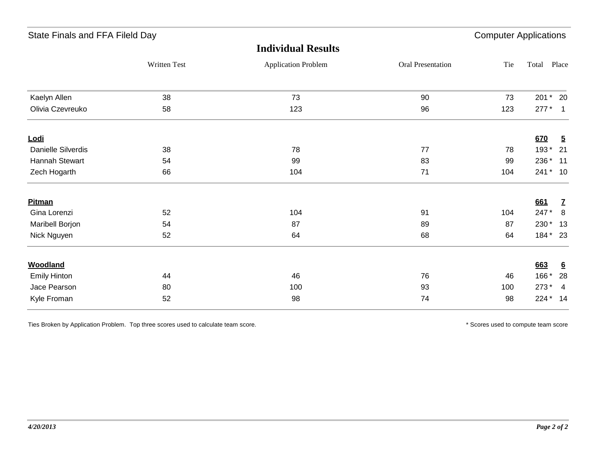| State Finals and FFA Fileld Day |                     |                            |                   |     | <b>Computer Applications</b> |                 |  |  |
|---------------------------------|---------------------|----------------------------|-------------------|-----|------------------------------|-----------------|--|--|
|                                 |                     | <b>Individual Results</b>  |                   |     |                              |                 |  |  |
|                                 | <b>Written Test</b> | <b>Application Problem</b> | Oral Presentation | Tie | Total                        | Place           |  |  |
| Kaelyn Allen                    | 38                  | 73                         | 90                | 73  |                              | 201 * 20        |  |  |
| Olivia Czevreuko                | 58                  | 123                        | 96                | 123 | $277*1$                      |                 |  |  |
| <u>Lodi</u>                     |                     |                            |                   |     | 670                          | $\overline{2}$  |  |  |
| <b>Danielle Silverdis</b>       | 38                  | 78                         | 77                | 78  | 193*                         | 21              |  |  |
| Hannah Stewart                  | 54                  | 99                         | 83                | 99  | 236 *                        | 11              |  |  |
| Zech Hogarth                    | 66                  | 104                        | 71                | 104 |                              | 241 * 10        |  |  |
| <b>Pitman</b>                   |                     |                            |                   |     | 661                          | $\mathbf{Z}$    |  |  |
| Gina Lorenzi                    | 52                  | 104                        | 91                | 104 | 247*                         | 8               |  |  |
| Maribell Borjon                 | 54                  | 87                         | 89                | 87  | 230 *                        | 13              |  |  |
| Nick Nguyen                     | 52                  | 64                         | 68                | 64  | 184 * 23                     |                 |  |  |
| <b>Woodland</b>                 |                     |                            |                   |     | 663                          | $6\overline{6}$ |  |  |
| <b>Emily Hinton</b>             | 44                  | 46                         | 76                | 46  | $166*$                       | 28              |  |  |
| Jace Pearson                    | 80                  | 100                        | 93                | 100 | 273 *                        | $\overline{4}$  |  |  |
| Kyle Froman                     | 52                  | 98                         | 74                | 98  | 224 * 14                     |                 |  |  |
|                                 |                     |                            |                   |     |                              |                 |  |  |

Ties Broken by Application Problem. Top three scores used to calculate team score. \* Scores used to compute team score \* Scores used to compute team score